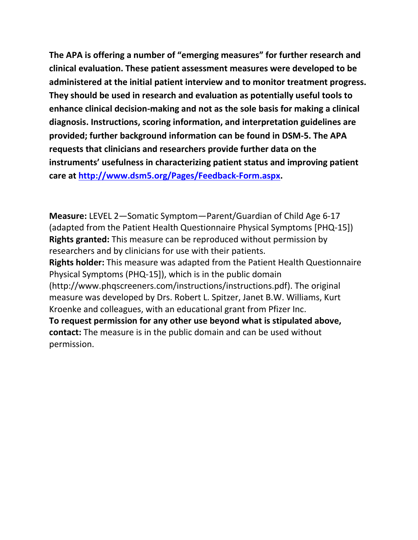**The APA is offering a number of "emerging measures" for further research and clinical evaluation. These patient assessment measures were developed to be administered at the initial patient interview and to monitor treatment progress. They should be used in research and evaluation as potentially useful tools to enhance clinical decision-making and not as the sole basis for making a clinical diagnosis. Instructions, scoring information, and interpretation guidelines are provided; further background information can be found in DSM-5. The APA requests that clinicians and researchers provide further data on the instruments' usefulness in characterizing patient status and improving patient care at [http://www.dsm5.org/Pages/Feedback-Form.aspx.](http://www.dsm5.org/Pages/Feedback-Form.aspx)**

**Measure:** LEVEL 2—Somatic Symptom—Parent/Guardian of Child Age 6-17 (adapted from the Patient Health Questionnaire Physical Symptoms [PHQ-15]) **Rights granted:** This measure can be reproduced without permission by researchers and by clinicians for use with their patients. **Rights holder:** This measure was adapted from the Patient Health Questionnaire Physical Symptoms (PHQ-15]), which is in the public domain (http://www.phqscreeners.com/instructions/instructions.pdf). The original measure was developed by Drs. Robert L. Spitzer, Janet B.W. Williams, Kurt Kroenke and colleagues, with an educational grant from Pfizer Inc. **To request permission for any other use beyond what is stipulated above, contact:** The measure is in the public domain and can be used without permission.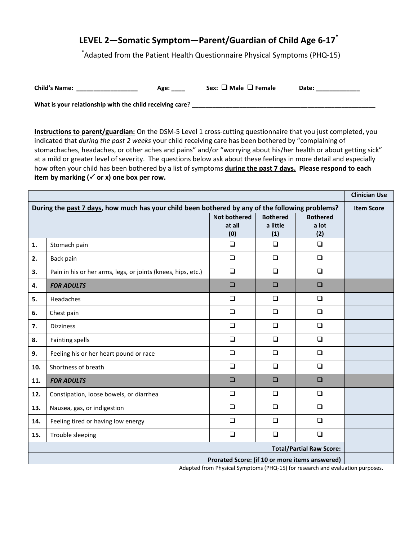## **LEVEL 2—Somatic Symptom—Parent/Guardian of Child Age 6-17\***

\* Adapted from the Patient Health Questionnaire Physical Symptoms (PHQ-15)

| <b>Child's Name:</b> | Age: | Sex: $\Box$ Male $\Box$ Female | Date: |
|----------------------|------|--------------------------------|-------|
|----------------------|------|--------------------------------|-------|

What is your relationship with the child receiving care? \_\_\_\_\_\_\_\_\_\_\_\_\_\_\_\_\_\_\_\_\_\_\_

**Instructions to parent/guardian:** On the DSM-5 Level 1 cross-cutting questionnaire that you just completed, you indicated that *during the past 2 weeks* your child receiving care has been bothered by "complaining of stomachaches, headaches, or other aches and pains" and/or "worrying about his/her health or about getting sick" at a mild or greater level of severity. The questions below ask about these feelings in more detail and especially how often your child has been bothered by a list of symptoms **during the past 7 days. Please respond to each**  item by marking  $(\checkmark)$  or x) one box per row.

|                                                                                                                                                                                      |                                                              |                     |                 | <b>Clinician Use</b> |                   |
|--------------------------------------------------------------------------------------------------------------------------------------------------------------------------------------|--------------------------------------------------------------|---------------------|-----------------|----------------------|-------------------|
| During the past 7 days, how much has your child been bothered by any of the following problems?                                                                                      |                                                              |                     |                 |                      | <b>Item Score</b> |
|                                                                                                                                                                                      |                                                              | <b>Not bothered</b> | <b>Bothered</b> | <b>Bothered</b>      |                   |
|                                                                                                                                                                                      |                                                              | at all<br>(0)       | a little<br>(1) | a lot<br>(2)         |                   |
| 1.                                                                                                                                                                                   | Stomach pain                                                 | $\Box$              | $\Box$          | $\Box$               |                   |
|                                                                                                                                                                                      |                                                              |                     |                 |                      |                   |
| 2.                                                                                                                                                                                   | Back pain                                                    | $\Box$              | $\Box$          | $\Box$               |                   |
| 3.                                                                                                                                                                                   | Pain in his or her arms, legs, or joints (knees, hips, etc.) | $\Box$              | $\Box$          | $\Box$               |                   |
| 4.                                                                                                                                                                                   | <b>FOR ADULTS</b>                                            | $\Box$              | $\Box$          | $\Box$               |                   |
| 5.                                                                                                                                                                                   | Headaches                                                    | $\Box$              | $\Box$          | $\Box$               |                   |
| 6.                                                                                                                                                                                   | Chest pain                                                   | $\Box$              | $\Box$          | $\Box$               |                   |
| 7.                                                                                                                                                                                   | <b>Dizziness</b>                                             | $\Box$              | $\Box$          | $\Box$               |                   |
| 8.                                                                                                                                                                                   | <b>Fainting spells</b>                                       | $\Box$              | $\Box$          | $\Box$               |                   |
| 9.                                                                                                                                                                                   | Feeling his or her heart pound or race                       | $\Box$              | $\Box$          | $\Box$               |                   |
| 10.                                                                                                                                                                                  | Shortness of breath                                          | $\Box$              | $\Box$          | $\Box$               |                   |
| 11.                                                                                                                                                                                  | <b>FOR ADULTS</b>                                            | $\Box$              | $\Box$          | $\Box$               |                   |
| 12.                                                                                                                                                                                  | Constipation, loose bowels, or diarrhea                      | $\Box$              | $\Box$          | $\Box$               |                   |
| 13.                                                                                                                                                                                  | Nausea, gas, or indigestion                                  | $\Box$              | $\Box$          | $\Box$               |                   |
| 14.                                                                                                                                                                                  | Feeling tired or having low energy                           | $\Box$              | $\Box$          | $\Box$               |                   |
| 15.                                                                                                                                                                                  | Trouble sleeping                                             | $\Box$              | $\Box$          | $\Box$               |                   |
| <b>Total/Partial Raw Score:</b>                                                                                                                                                      |                                                              |                     |                 |                      |                   |
| Prorated Score: (if 10 or more items answered)<br>$\mathbf{A}$ and $\mathbf{A}$ and $\mathbf{A}$ and $\mathbf{A}$<br>$\mathbf{r}$ and $\mathbf{r}$ are $\mathbf{r}$ and $\mathbf{r}$ |                                                              |                     |                 |                      |                   |

Adapted from Physical Symptoms (PHQ-15) for research and evaluation purposes.